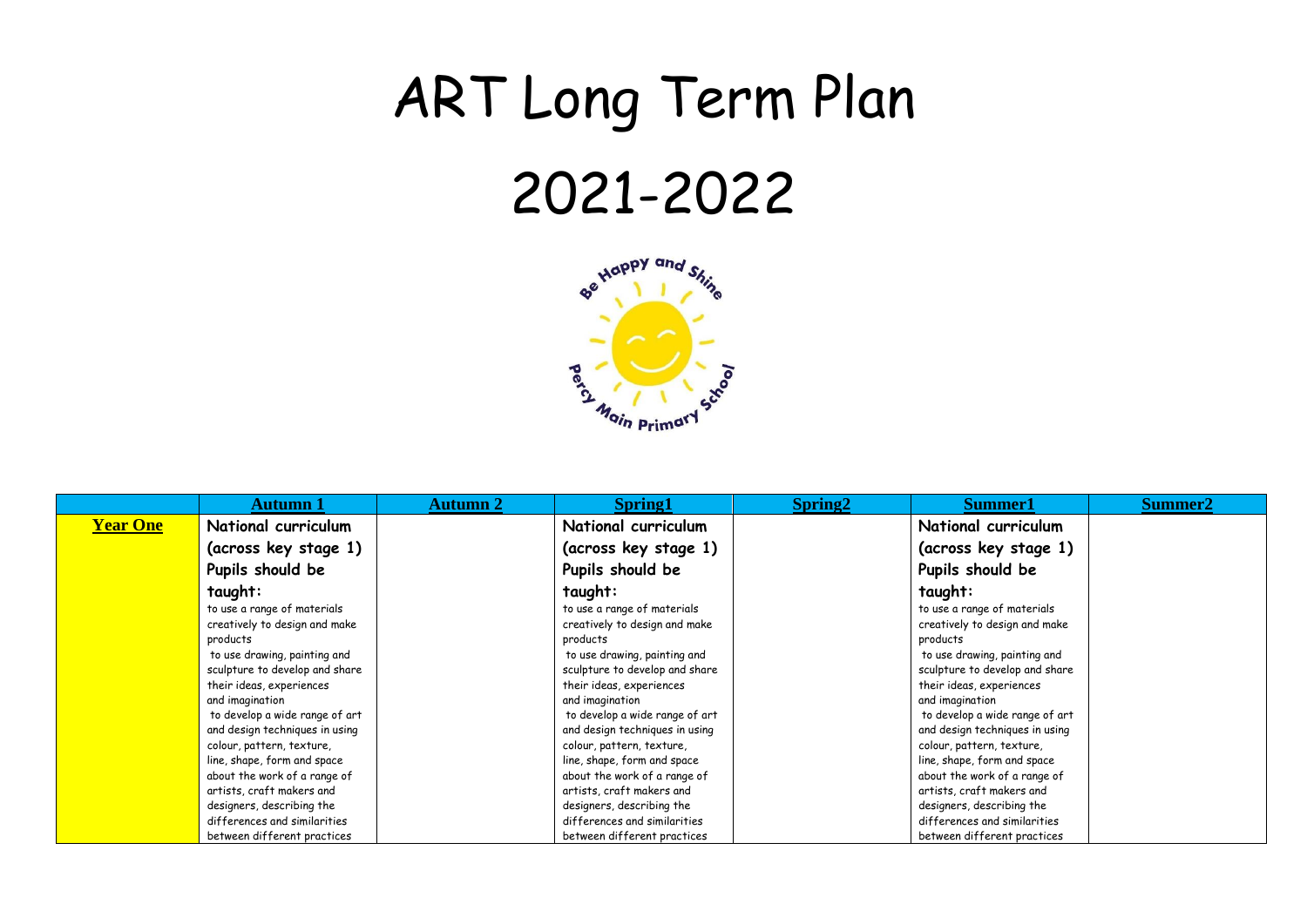## ART Long Term Plan 2021-2022



|                 | Autumn 1                       | Autumn 2 | <b>Spring1</b>                 | Spring <sub>2</sub> | Summer1                        | Summer2 |
|-----------------|--------------------------------|----------|--------------------------------|---------------------|--------------------------------|---------|
| <b>Year One</b> | National curriculum            |          | National curriculum            |                     | National curriculum            |         |
|                 | (across key stage 1)           |          | (across key stage 1)           |                     | (across key stage 1)           |         |
|                 | Pupils should be               |          | Pupils should be               |                     | Pupils should be               |         |
|                 | taught:                        |          | taught:                        |                     | taught:                        |         |
|                 | to use a range of materials    |          | to use a range of materials    |                     | to use a range of materials    |         |
|                 | creatively to design and make  |          | creatively to design and make  |                     | creatively to design and make  |         |
|                 | products                       |          | products                       |                     | products                       |         |
|                 | to use drawing, painting and   |          | to use drawing, painting and   |                     | to use drawing, painting and   |         |
|                 | sculpture to develop and share |          | sculpture to develop and share |                     | sculpture to develop and share |         |
|                 | their ideas, experiences       |          | their ideas, experiences       |                     | their ideas, experiences       |         |
|                 | and imagination                |          | and imagination                |                     | and imagination                |         |
|                 | to develop a wide range of art |          | to develop a wide range of art |                     | to develop a wide range of art |         |
|                 | and design techniques in using |          | and design techniques in using |                     | and design techniques in using |         |
|                 | colour, pattern, texture,      |          | colour, pattern, texture,      |                     | colour, pattern, texture,      |         |
|                 | line, shape, form and space    |          | line, shape, form and space    |                     | line, shape, form and space    |         |
|                 | about the work of a range of   |          | about the work of a range of   |                     | about the work of a range of   |         |
|                 | artists, craft makers and      |          | artists, craft makers and      |                     | artists, craft makers and      |         |
|                 | designers, describing the      |          | designers, describing the      |                     | designers, describing the      |         |
|                 | differences and similarities   |          | differences and similarities   |                     | differences and similarities   |         |
|                 | between different practices    |          | between different practices    |                     | between different practices    |         |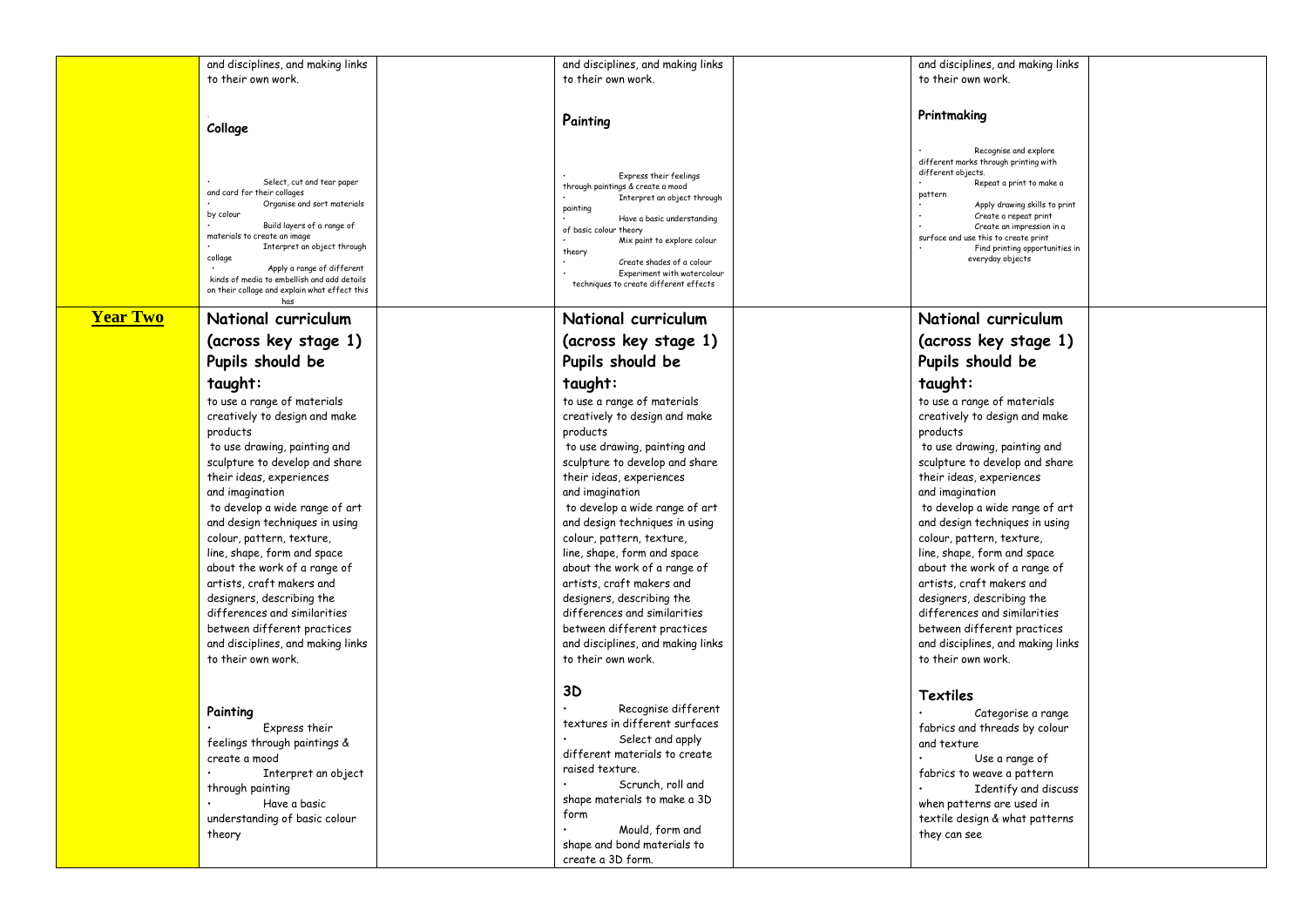|                 | and disciplines, and making links             | and disciplines, and making links                    | and disciplines, and making links              |  |
|-----------------|-----------------------------------------------|------------------------------------------------------|------------------------------------------------|--|
|                 | to their own work.                            | to their own work.                                   | to their own work.                             |  |
|                 |                                               |                                                      |                                                |  |
|                 |                                               |                                                      |                                                |  |
|                 |                                               |                                                      |                                                |  |
|                 |                                               | Painting                                             | Printmaking                                    |  |
|                 | Collage                                       |                                                      |                                                |  |
|                 |                                               |                                                      |                                                |  |
|                 |                                               |                                                      | Recognise and explore                          |  |
|                 |                                               |                                                      | different marks through printing with          |  |
|                 | Select, cut and tear paper                    | Express their feelings                               | different objects.<br>Repeat a print to make a |  |
|                 | and card for their collages                   | through paintings & create a mood                    | pattern                                        |  |
|                 | Organise and sort materials                   | Interpret an object through                          | Apply drawing skills to print                  |  |
|                 | by colour                                     | painting                                             | Create a repeat print                          |  |
|                 | Build layers of a range of                    | Have a basic understanding<br>of basic colour theory | Create an impression in a                      |  |
|                 | materials to create an image                  | Mix paint to explore colour                          | surface and use this to create print           |  |
|                 | Interpret an object through                   | theory                                               | Find printing opportunities in                 |  |
|                 | collage                                       | Create shades of a colour                            | everyday objects                               |  |
|                 | Apply a range of different                    | Experiment with watercolour                          |                                                |  |
|                 | kinds of media to embellish and add details   | techniques to create different effects               |                                                |  |
|                 | on their collage and explain what effect this |                                                      |                                                |  |
|                 | has                                           |                                                      |                                                |  |
| <b>Year Two</b> | National curriculum                           | National curriculum                                  | National curriculum                            |  |
|                 | (across key stage 1)                          | (across key stage 1)                                 | (across key stage 1)                           |  |
|                 | Pupils should be                              | Pupils should be                                     | Pupils should be                               |  |
|                 |                                               |                                                      |                                                |  |
|                 | taught:                                       | taught:                                              | taught:                                        |  |
|                 | to use a range of materials                   | to use a range of materials                          | to use a range of materials                    |  |
|                 | creatively to design and make                 |                                                      |                                                |  |
|                 |                                               | creatively to design and make                        | creatively to design and make                  |  |
|                 | products                                      | products                                             | products                                       |  |
|                 | to use drawing, painting and                  | to use drawing, painting and                         | to use drawing, painting and                   |  |
|                 | sculpture to develop and share                | sculpture to develop and share                       | sculpture to develop and share                 |  |
|                 |                                               |                                                      |                                                |  |
|                 | their ideas, experiences                      | their ideas, experiences                             | their ideas, experiences                       |  |
|                 | and imagination                               | and imagination                                      | and imagination                                |  |
|                 | to develop a wide range of art                | to develop a wide range of art                       | to develop a wide range of art                 |  |
|                 | and design techniques in using                | and design techniques in using                       | and design techniques in using                 |  |
|                 |                                               |                                                      |                                                |  |
|                 | colour, pattern, texture,                     | colour, pattern, texture,                            | colour, pattern, texture,                      |  |
|                 | line, shape, form and space                   | line, shape, form and space                          | line, shape, form and space                    |  |
|                 | about the work of a range of                  | about the work of a range of                         | about the work of a range of                   |  |
|                 | artists, craft makers and                     | artists, craft makers and                            | artists, craft makers and                      |  |
|                 |                                               |                                                      |                                                |  |
|                 | designers, describing the                     | designers, describing the                            | designers, describing the                      |  |
|                 | differences and similarities                  | differences and similarities                         | differences and similarities                   |  |
|                 | between different practices                   | between different practices                          | between different practices                    |  |
|                 | and disciplines, and making links             | and disciplines, and making links                    | and disciplines, and making links              |  |
|                 |                                               |                                                      |                                                |  |
|                 | to their own work.                            | to their own work.                                   | to their own work.                             |  |
|                 |                                               |                                                      |                                                |  |
|                 |                                               | 3D                                                   | Textiles                                       |  |
|                 | Painting                                      | Recognise different                                  | Categorise a range                             |  |
|                 |                                               | textures in different surfaces                       |                                                |  |
|                 | Express their                                 | Select and apply                                     | fabrics and threads by colour                  |  |
|                 | feelings through paintings &                  |                                                      | and texture                                    |  |
|                 | create a mood                                 | different materials to create                        | Use a range of                                 |  |
|                 | Interpret an object                           | raised texture.                                      | fabrics to weave a pattern                     |  |
|                 |                                               | Scrunch, roll and                                    |                                                |  |
|                 | through painting                              | shape materials to make a 3D                         | Identify and discuss                           |  |
|                 | Have a basic                                  |                                                      | when patterns are used in                      |  |
|                 | understanding of basic colour                 | form                                                 | textile design & what patterns                 |  |
|                 | theory                                        | Mould, form and                                      | they can see                                   |  |
|                 |                                               | shape and bond materials to                          |                                                |  |
|                 |                                               |                                                      |                                                |  |
|                 |                                               | create a 3D form.                                    |                                                |  |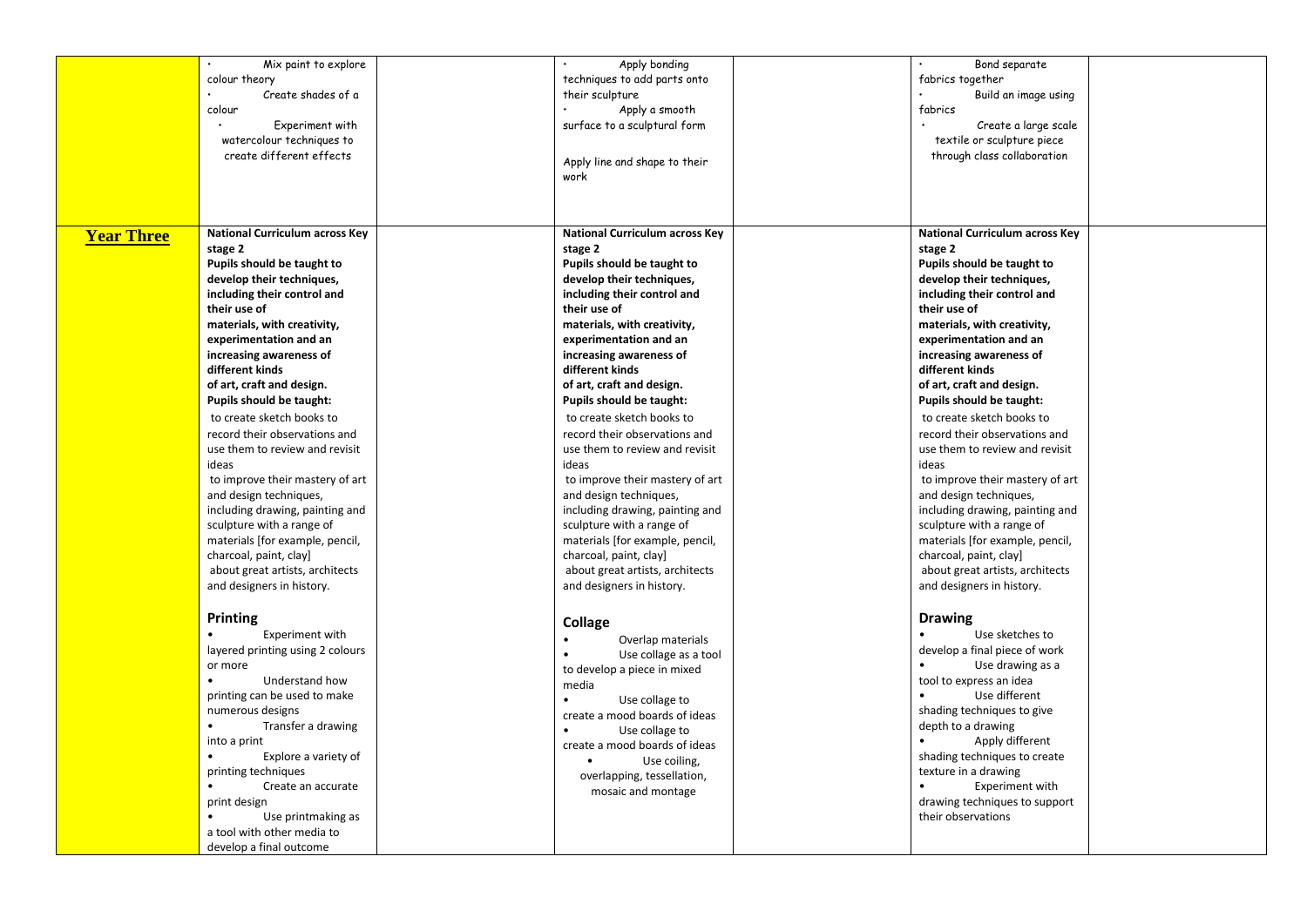|                   | Mix paint to explore                  | Apply bonding                         | Bond separate                         |
|-------------------|---------------------------------------|---------------------------------------|---------------------------------------|
|                   | colour theory                         | techniques to add parts onto          | fabrics together                      |
|                   | Create shades of a                    | their sculpture                       | Build an image using                  |
|                   | colour                                | Apply a smooth                        | fabrics                               |
|                   | Experiment with                       | surface to a sculptural form          | Create a large scale                  |
|                   | watercolour techniques to             |                                       | textile or sculpture piece            |
|                   | create different effects              |                                       | through class collaboration           |
|                   |                                       | Apply line and shape to their         |                                       |
|                   |                                       | work                                  |                                       |
|                   |                                       |                                       |                                       |
|                   |                                       |                                       |                                       |
| <b>Year Three</b> | <b>National Curriculum across Key</b> | <b>National Curriculum across Key</b> | <b>National Curriculum across Key</b> |
|                   | stage 2                               | stage 2                               | stage 2                               |
|                   | Pupils should be taught to            | Pupils should be taught to            | Pupils should be taught to            |
|                   | develop their techniques,             | develop their techniques,             | develop their techniques,             |
|                   | including their control and           | including their control and           | including their control and           |
|                   | their use of                          | their use of                          | their use of                          |
|                   | materials, with creativity,           | materials, with creativity,           | materials, with creativity,           |
|                   | experimentation and an                | experimentation and an                | experimentation and an                |
|                   | increasing awareness of               | increasing awareness of               | increasing awareness of               |
|                   | different kinds                       | different kinds                       | different kinds                       |
|                   | of art, craft and design.             | of art, craft and design.             | of art, craft and design.             |
|                   | <b>Pupils should be taught:</b>       | <b>Pupils should be taught:</b>       | <b>Pupils should be taught:</b>       |
|                   | to create sketch books to             | to create sketch books to             | to create sketch books to             |
|                   | record their observations and         | record their observations and         | record their observations and         |
|                   | use them to review and revisit        | use them to review and revisit        | use them to review and revisit        |
|                   | ideas                                 | ideas                                 | ideas                                 |
|                   | to improve their mastery of art       | to improve their mastery of art       | to improve their mastery of art       |
|                   | and design techniques,                | and design techniques,                | and design techniques,                |
|                   | including drawing, painting and       | including drawing, painting and       | including drawing, painting and       |
|                   | sculpture with a range of             | sculpture with a range of             | sculpture with a range of             |
|                   | materials [for example, pencil,       | materials [for example, pencil,       | materials [for example, pencil,       |
|                   | charcoal, paint, clay]                | charcoal, paint, clay]                | charcoal, paint, clay]                |
|                   | about great artists, architects       | about great artists, architects       | about great artists, architects       |
|                   | and designers in history.             | and designers in history.             | and designers in history.             |
|                   |                                       |                                       |                                       |
|                   | Printing                              |                                       | <b>Drawing</b>                        |
|                   | Experiment with                       | Collage                               | Use sketches to                       |
|                   | layered printing using 2 colours      | Overlap materials                     | develop a final piece of work         |
|                   | or more                               | Use collage as a tool                 | Use drawing as a                      |
|                   | Understand how                        | to develop a piece in mixed           | tool to express an idea               |
|                   | printing can be used to make          | media                                 | Use different                         |
|                   | numerous designs                      | $\bullet$<br>Use collage to           | shading techniques to give            |
|                   | Transfer a drawing                    | create a mood boards of ideas         | depth to a drawing                    |
|                   | into a print                          | Use collage to                        | Apply different                       |
|                   | Explore a variety of                  | create a mood boards of ideas         | shading techniques to create          |
|                   | printing techniques                   | Use coiling,                          | texture in a drawing                  |
|                   | Create an accurate                    | overlapping, tessellation,            | Experiment with                       |
|                   | print design                          | mosaic and montage                    | drawing techniques to support         |
|                   | Use printmaking as<br>$\bullet$       |                                       | their observations                    |
|                   | a tool with other media to            |                                       |                                       |
|                   | develop a final outcome               |                                       |                                       |
|                   |                                       |                                       |                                       |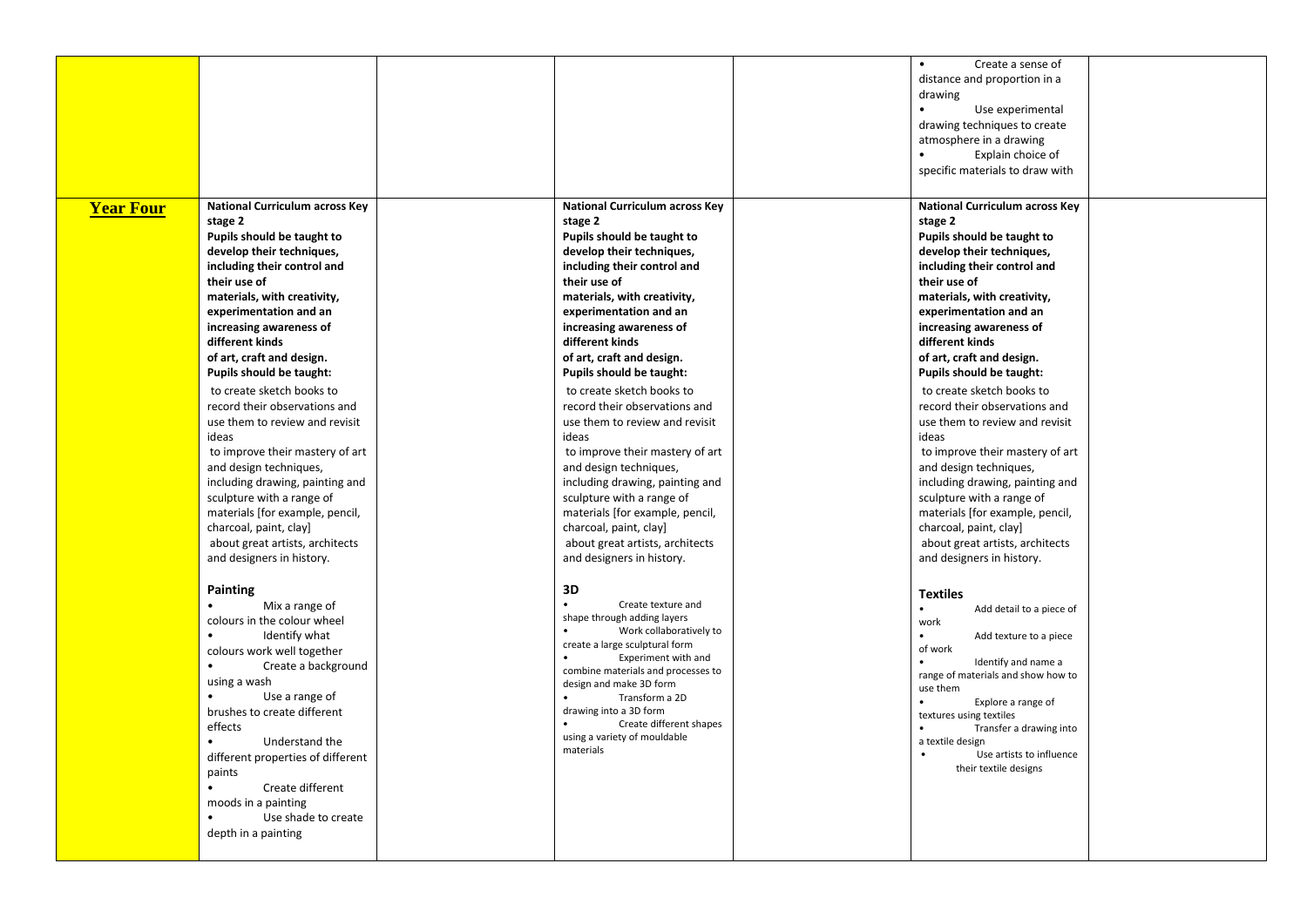|                  |                                            |                                            | $\bullet$<br>Create a sense of               |  |
|------------------|--------------------------------------------|--------------------------------------------|----------------------------------------------|--|
|                  |                                            |                                            | distance and proportion in a                 |  |
|                  |                                            |                                            | drawing                                      |  |
|                  |                                            |                                            | Use experimental<br>$\bullet$                |  |
|                  |                                            |                                            | drawing techniques to create                 |  |
|                  |                                            |                                            | atmosphere in a drawing                      |  |
|                  |                                            |                                            | Explain choice of                            |  |
|                  |                                            |                                            | specific materials to draw with              |  |
|                  |                                            |                                            |                                              |  |
| <b>Year Four</b> | <b>National Curriculum across Key</b>      | <b>National Curriculum across Key</b>      | <b>National Curriculum across Key</b>        |  |
|                  | stage 2                                    | stage 2                                    | stage 2                                      |  |
|                  | Pupils should be taught to                 | Pupils should be taught to                 | Pupils should be taught to                   |  |
|                  | develop their techniques,                  | develop their techniques,                  | develop their techniques,                    |  |
|                  | including their control and                | including their control and                | including their control and                  |  |
|                  | their use of                               | their use of                               | their use of                                 |  |
|                  | materials, with creativity,                | materials, with creativity,                | materials, with creativity,                  |  |
|                  | experimentation and an                     | experimentation and an                     | experimentation and an                       |  |
|                  |                                            |                                            |                                              |  |
|                  | increasing awareness of<br>different kinds | increasing awareness of<br>different kinds | increasing awareness of<br>different kinds   |  |
|                  |                                            |                                            |                                              |  |
|                  | of art, craft and design.                  | of art, craft and design.                  | of art, craft and design.                    |  |
|                  | Pupils should be taught:                   | Pupils should be taught:                   | Pupils should be taught:                     |  |
|                  | to create sketch books to                  | to create sketch books to                  | to create sketch books to                    |  |
|                  | record their observations and              | record their observations and              | record their observations and                |  |
|                  | use them to review and revisit             | use them to review and revisit             | use them to review and revisit               |  |
|                  | ideas                                      | ideas                                      | ideas                                        |  |
|                  | to improve their mastery of art            | to improve their mastery of art            | to improve their mastery of art              |  |
|                  | and design techniques,                     | and design techniques,                     | and design techniques,                       |  |
|                  | including drawing, painting and            | including drawing, painting and            | including drawing, painting and              |  |
|                  | sculpture with a range of                  | sculpture with a range of                  | sculpture with a range of                    |  |
|                  | materials [for example, pencil,            | materials [for example, pencil,            | materials [for example, pencil,              |  |
|                  | charcoal, paint, clay]                     | charcoal, paint, clay]                     | charcoal, paint, clay]                       |  |
|                  | about great artists, architects            | about great artists, architects            | about great artists, architects              |  |
|                  | and designers in history.                  | and designers in history.                  | and designers in history.                    |  |
|                  | <b>Painting</b>                            | 3D                                         |                                              |  |
|                  | Mix a range of<br>$\bullet$                | Create texture and                         | <b>Textiles</b><br>$\bullet$                 |  |
|                  | colours in the colour wheel                | shape through adding layers                | Add detail to a piece of<br>work             |  |
|                  | $\bullet$<br>Identify what                 | Work collaboratively to                    | Add texture to a piece                       |  |
|                  | colours work well together                 | create a large sculptural form             | of work                                      |  |
|                  | $\bullet$<br>Create a background           | Experiment with and                        | Identify and name a                          |  |
|                  | using a wash                               | combine materials and processes to         | range of materials and show how to           |  |
|                  | $\bullet$<br>Use a range of                | design and make 3D form<br>Transform a 2D  | use them                                     |  |
|                  | brushes to create different                | drawing into a 3D form                     | Explore a range of                           |  |
|                  |                                            | Create different shapes                    | textures using textiles                      |  |
|                  | effects<br>$\bullet$                       | using a variety of mouldable               | Transfer a drawing into<br>$\bullet$         |  |
|                  | Understand the                             | materials                                  | a textile design<br>Use artists to influence |  |
|                  | different properties of different          |                                            | their textile designs                        |  |
|                  | paints                                     |                                            |                                              |  |
|                  | Create different<br>$\bullet$              |                                            |                                              |  |
|                  | moods in a painting                        |                                            |                                              |  |
|                  | $\bullet$<br>Use shade to create           |                                            |                                              |  |
|                  | depth in a painting                        |                                            |                                              |  |
|                  |                                            |                                            |                                              |  |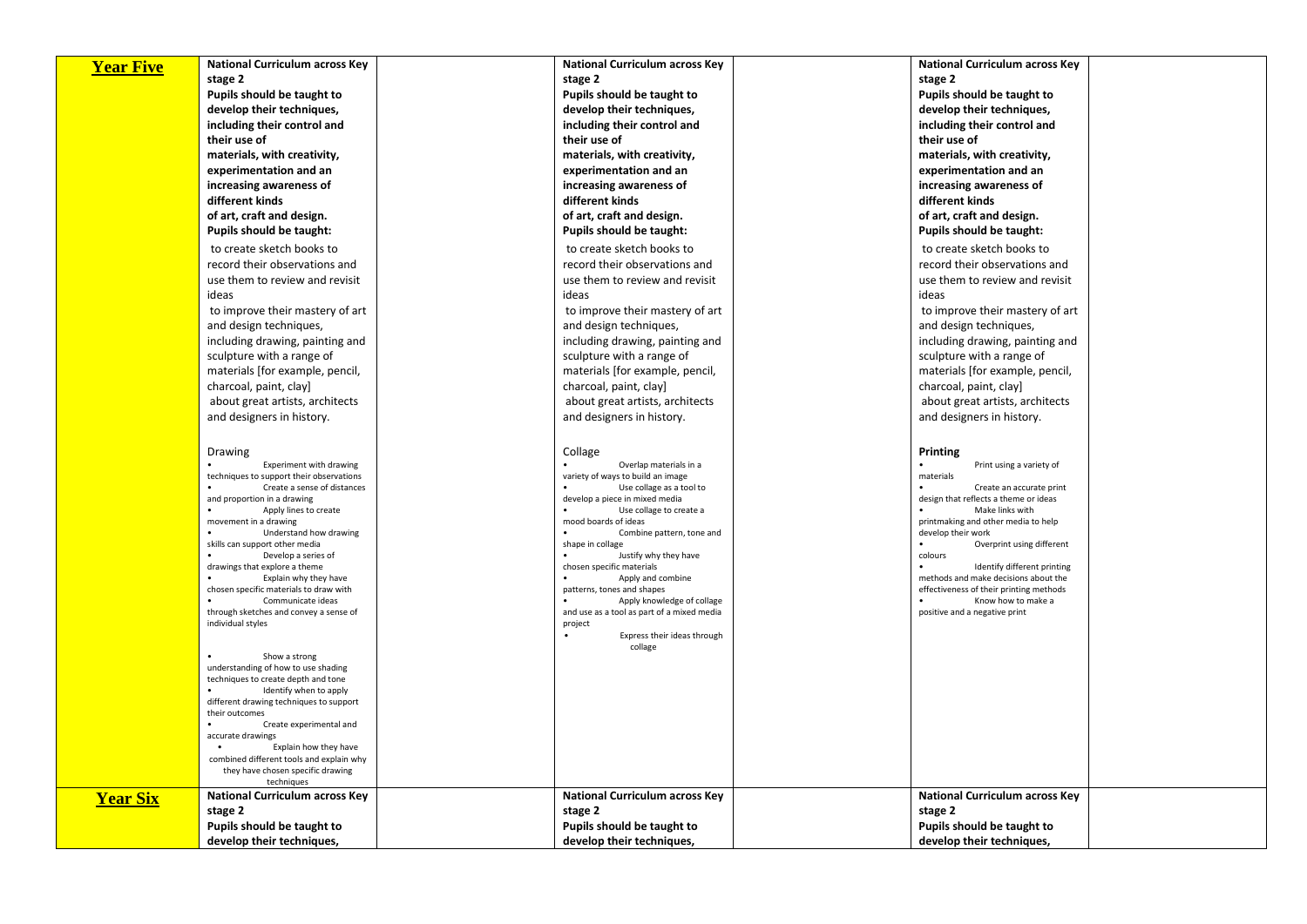| <b>Year Five</b> | <b>National Curriculum across Key</b>                                          | <b>National Curriculum across Key</b>                                    | <b>National Curriculum across Key</b>                  |  |
|------------------|--------------------------------------------------------------------------------|--------------------------------------------------------------------------|--------------------------------------------------------|--|
|                  | stage 2                                                                        | stage 2                                                                  | stage 2                                                |  |
|                  | Pupils should be taught to                                                     | Pupils should be taught to                                               | Pupils should be taught to                             |  |
|                  | develop their techniques,                                                      | develop their techniques,                                                | develop their techniques,                              |  |
|                  | including their control and                                                    | including their control and                                              | including their control and                            |  |
|                  | their use of                                                                   | their use of                                                             | their use of                                           |  |
|                  | materials, with creativity,                                                    | materials, with creativity,                                              | materials, with creativity,                            |  |
|                  | experimentation and an                                                         | experimentation and an                                                   | experimentation and an                                 |  |
|                  |                                                                                |                                                                          |                                                        |  |
|                  | increasing awareness of                                                        | increasing awareness of                                                  | increasing awareness of                                |  |
|                  | different kinds                                                                | different kinds                                                          | different kinds                                        |  |
|                  | of art, craft and design.                                                      | of art, craft and design.                                                | of art, craft and design.                              |  |
|                  | Pupils should be taught:                                                       | Pupils should be taught:                                                 | Pupils should be taught:                               |  |
|                  | to create sketch books to                                                      | to create sketch books to                                                | to create sketch books to                              |  |
|                  | record their observations and                                                  | record their observations and                                            | record their observations and                          |  |
|                  | use them to review and revisit                                                 | use them to review and revisit                                           | use them to review and revisit                         |  |
|                  | ideas                                                                          | ideas                                                                    | ideas                                                  |  |
|                  | to improve their mastery of art                                                | to improve their mastery of art                                          | to improve their mastery of art                        |  |
|                  | and design techniques,                                                         | and design techniques,                                                   | and design techniques,                                 |  |
|                  | including drawing, painting and                                                | including drawing, painting and                                          | including drawing, painting and                        |  |
|                  | sculpture with a range of                                                      | sculpture with a range of                                                | sculpture with a range of                              |  |
|                  | materials [for example, pencil,                                                | materials [for example, pencil,                                          | materials [for example, pencil,                        |  |
|                  | charcoal, paint, clay]                                                         | charcoal, paint, clay]                                                   | charcoal, paint, clay]                                 |  |
|                  | about great artists, architects                                                | about great artists, architects                                          | about great artists, architects                        |  |
|                  | and designers in history.                                                      | and designers in history.                                                | and designers in history.                              |  |
|                  |                                                                                |                                                                          |                                                        |  |
|                  |                                                                                |                                                                          |                                                        |  |
|                  | Drawing<br>Experiment with drawing                                             | Collage<br>Overlap materials in a                                        | <b>Printing</b>                                        |  |
|                  | techniques to support their observations                                       | variety of ways to build an image                                        | Print using a variety of<br>materials                  |  |
|                  | Create a sense of distances                                                    | Use collage as a tool to                                                 | Create an accurate print                               |  |
|                  | and proportion in a drawing                                                    | develop a piece in mixed media                                           | design that reflects a theme or ideas                  |  |
|                  | Apply lines to create<br>movement in a drawing                                 | Use collage to create a<br>mood boards of ideas                          | Make links with<br>printmaking and other media to help |  |
|                  | Understand how drawing                                                         | Combine pattern, tone and                                                | develop their work                                     |  |
|                  | skills can support other media                                                 | shape in collage                                                         | Overprint using different                              |  |
|                  | Develop a series of<br>drawings that explore a theme                           | Justify why they have<br>chosen specific materials                       | colours<br>Identify different printing                 |  |
|                  | Explain why they have                                                          | Apply and combine                                                        | methods and make decisions about the                   |  |
|                  | chosen specific materials to draw with                                         | patterns, tones and shapes                                               | effectiveness of their printing methods                |  |
|                  | Communicate ideas                                                              | Apply knowledge of collage<br>and use as a tool as part of a mixed media | Know how to make a<br>positive and a negative print    |  |
|                  | through sketches and convey a sense of<br>individual styles                    | project                                                                  |                                                        |  |
|                  |                                                                                | Express their ideas through                                              |                                                        |  |
|                  |                                                                                | collage                                                                  |                                                        |  |
|                  | Show a strong<br>understanding of how to use shading                           |                                                                          |                                                        |  |
|                  | techniques to create depth and tone                                            |                                                                          |                                                        |  |
|                  | Identify when to apply                                                         |                                                                          |                                                        |  |
|                  | different drawing techniques to support<br>their outcomes                      |                                                                          |                                                        |  |
|                  | Create experimental and                                                        |                                                                          |                                                        |  |
|                  | accurate drawings                                                              |                                                                          |                                                        |  |
|                  | $\bullet$<br>Explain how they have<br>combined different tools and explain why |                                                                          |                                                        |  |
|                  | they have chosen specific drawing                                              |                                                                          |                                                        |  |
|                  | techniques                                                                     |                                                                          |                                                        |  |
| <b>Year Six</b>  | National Curriculum across Key                                                 | <b>National Curriculum across Key</b>                                    | <b>National Curriculum across Key</b>                  |  |
|                  | stage 2                                                                        | stage 2                                                                  | stage 2                                                |  |
|                  | Pupils should be taught to                                                     | Pupils should be taught to                                               | Pupils should be taught to                             |  |
|                  | develop their techniques,                                                      | develop their techniques,                                                | develop their techniques,                              |  |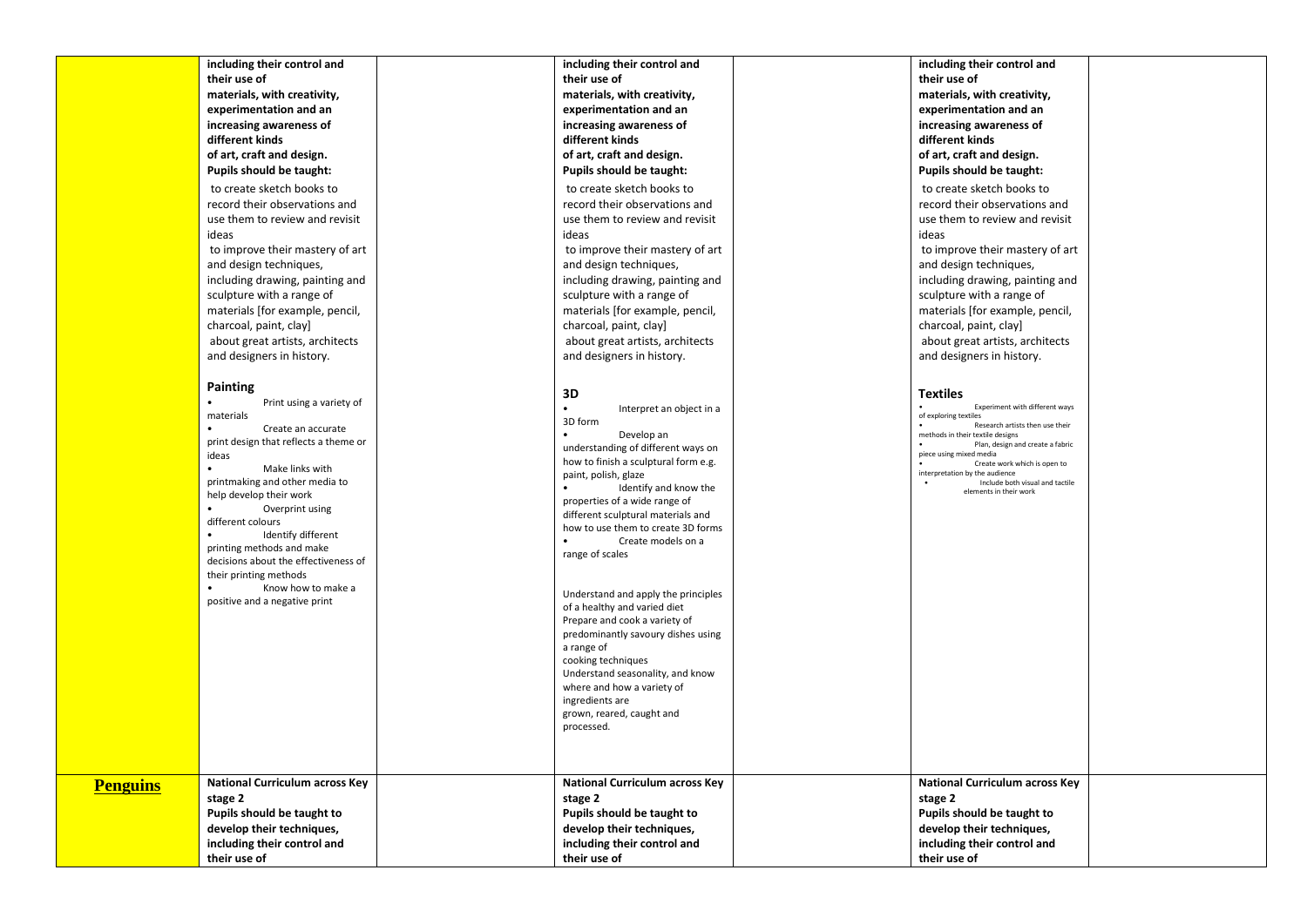|                 | including their control and                             | including their control and                                  | including their control and                                          |  |
|-----------------|---------------------------------------------------------|--------------------------------------------------------------|----------------------------------------------------------------------|--|
|                 | their use of                                            | their use of                                                 | their use of                                                         |  |
|                 | materials, with creativity,                             | materials, with creativity,                                  | materials, with creativity,                                          |  |
|                 | experimentation and an                                  | experimentation and an                                       | experimentation and an                                               |  |
|                 | increasing awareness of                                 | increasing awareness of                                      | increasing awareness of                                              |  |
|                 | different kinds                                         | different kinds                                              | different kinds                                                      |  |
|                 | of art, craft and design.                               | of art, craft and design.                                    | of art, craft and design.                                            |  |
|                 | Pupils should be taught:                                | Pupils should be taught:                                     | Pupils should be taught:                                             |  |
|                 | to create sketch books to                               | to create sketch books to                                    | to create sketch books to                                            |  |
|                 | record their observations and                           | record their observations and                                | record their observations and                                        |  |
|                 | use them to review and revisit                          | use them to review and revisit                               | use them to review and revisit                                       |  |
|                 | ideas                                                   | ideas                                                        | ideas                                                                |  |
|                 |                                                         |                                                              |                                                                      |  |
|                 | to improve their mastery of art                         | to improve their mastery of art                              | to improve their mastery of art                                      |  |
|                 | and design techniques,                                  | and design techniques,                                       | and design techniques,                                               |  |
|                 | including drawing, painting and                         | including drawing, painting and                              | including drawing, painting and                                      |  |
|                 | sculpture with a range of                               | sculpture with a range of                                    | sculpture with a range of                                            |  |
|                 | materials [for example, pencil,                         | materials [for example, pencil,                              | materials [for example, pencil,                                      |  |
|                 | charcoal, paint, clay]                                  | charcoal, paint, clay]                                       | charcoal, paint, clay]                                               |  |
|                 | about great artists, architects                         | about great artists, architects<br>and designers in history. | about great artists, architects<br>and designers in history.         |  |
|                 | and designers in history.                               |                                                              |                                                                      |  |
|                 | <b>Painting</b>                                         |                                                              |                                                                      |  |
|                 | $\bullet$<br>Print using a variety of                   | 3D                                                           | <b>Textiles</b>                                                      |  |
|                 | materials                                               | Interpret an object in a                                     | Experiment with different ways<br>of exploring textiles              |  |
|                 | $\bullet$<br>Create an accurate                         | 3D form<br>$\bullet$                                         | Research artists then use their                                      |  |
|                 | print design that reflects a theme or                   | Develop an<br>understanding of different ways on             | methods in their textile designs<br>Plan, design and create a fabric |  |
|                 | ideas                                                   | how to finish a sculptural form e.g.                         | piece using mixed media<br>Create work which is open to              |  |
|                 | Make links with                                         | paint, polish, glaze                                         | interpretation by the audience                                       |  |
|                 | printmaking and other media to                          | Identify and know the                                        | Include both visual and tactile<br>elements in their work            |  |
|                 | help develop their work<br>Overprint using<br>$\bullet$ | properties of a wide range of                                |                                                                      |  |
|                 | different colours                                       | different sculptural materials and                           |                                                                      |  |
|                 | Identify different                                      | how to use them to create 3D forms                           |                                                                      |  |
|                 | printing methods and make                               | Create models on a                                           |                                                                      |  |
|                 | decisions about the effectiveness of                    | range of scales                                              |                                                                      |  |
|                 | their printing methods                                  |                                                              |                                                                      |  |
|                 | Know how to make a                                      | Understand and apply the principles                          |                                                                      |  |
|                 | positive and a negative print                           | of a healthy and varied diet                                 |                                                                      |  |
|                 |                                                         | Prepare and cook a variety of                                |                                                                      |  |
|                 |                                                         | predominantly savoury dishes using                           |                                                                      |  |
|                 |                                                         | a range of                                                   |                                                                      |  |
|                 |                                                         | cooking techniques<br>Understand seasonality, and know       |                                                                      |  |
|                 |                                                         | where and how a variety of                                   |                                                                      |  |
|                 |                                                         | ingredients are                                              |                                                                      |  |
|                 |                                                         | grown, reared, caught and                                    |                                                                      |  |
|                 |                                                         | processed.                                                   |                                                                      |  |
|                 |                                                         |                                                              |                                                                      |  |
|                 |                                                         |                                                              |                                                                      |  |
|                 | <b>National Curriculum across Key</b>                   | <b>National Curriculum across Key</b>                        | <b>National Curriculum across Key</b>                                |  |
| <b>Penguins</b> | stage 2                                                 | stage 2                                                      | stage 2                                                              |  |
|                 | Pupils should be taught to                              | Pupils should be taught to                                   | Pupils should be taught to                                           |  |
|                 | develop their techniques,                               | develop their techniques,                                    | develop their techniques,                                            |  |
|                 | including their control and                             | including their control and                                  | including their control and                                          |  |
|                 | their use of                                            | their use of                                                 | their use of                                                         |  |